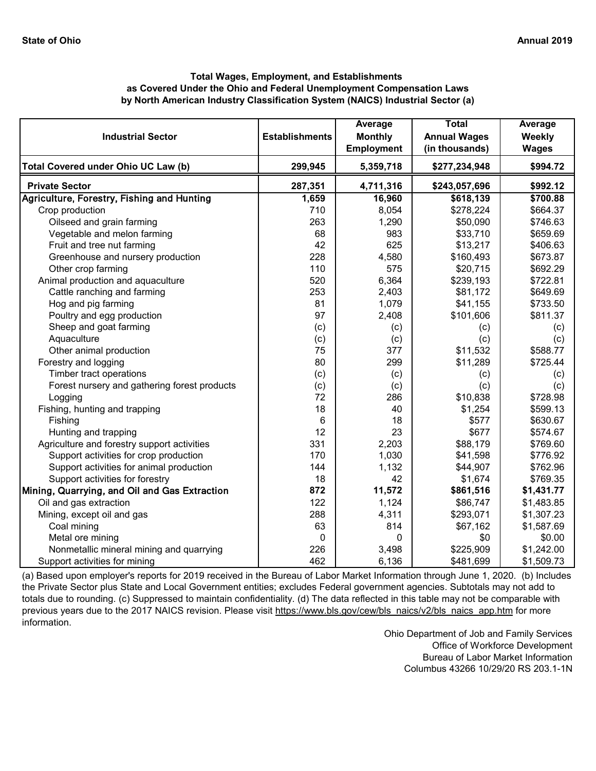|                                               |                       | Average                             | <b>Total</b>                          | Average                |
|-----------------------------------------------|-----------------------|-------------------------------------|---------------------------------------|------------------------|
| <b>Industrial Sector</b>                      | <b>Establishments</b> | <b>Monthly</b><br><b>Employment</b> | <b>Annual Wages</b><br>(in thousands) | Weekly<br><b>Wages</b> |
| Total Covered under Ohio UC Law (b)           | 299,945               | 5,359,718                           | \$277,234,948                         | \$994.72               |
| <b>Private Sector</b>                         | 287,351               | 4,711,316                           | \$243,057,696                         | \$992.12               |
| Agriculture, Forestry, Fishing and Hunting    | 1,659                 | 16,960                              | \$618,139                             | \$700.88               |
| Crop production                               | 710                   | 8,054                               | \$278,224                             | \$664.37               |
| Oilseed and grain farming                     | 263                   | 1,290                               | \$50,090                              | \$746.63               |
| Vegetable and melon farming                   | 68                    | 983                                 | \$33,710                              | \$659.69               |
| Fruit and tree nut farming                    | 42                    | 625                                 | \$13,217                              | \$406.63               |
| Greenhouse and nursery production             | 228                   | 4,580                               | \$160,493                             | \$673.87               |
| Other crop farming                            | 110                   | 575                                 | \$20,715                              | \$692.29               |
| Animal production and aquaculture             | 520                   | 6,364                               | \$239,193                             | \$722.81               |
| Cattle ranching and farming                   | 253                   | 2,403                               | \$81,172                              | \$649.69               |
| Hog and pig farming                           | 81                    | 1,079                               | \$41,155                              | \$733.50               |
| Poultry and egg production                    | 97                    | 2,408                               | \$101,606                             | \$811.37               |
| Sheep and goat farming                        | (c)                   | (c)                                 | (c)                                   | (c)                    |
| Aquaculture                                   | (c)                   | (c)                                 | (c)                                   | (c)                    |
| Other animal production                       | 75                    | 377                                 | \$11,532                              | \$588.77               |
| Forestry and logging                          | 80                    | 299                                 | \$11,289                              | \$725.44               |
| Timber tract operations                       | (c)                   | (c)                                 | (c)                                   | (c)                    |
| Forest nursery and gathering forest products  | (c)                   | (c)                                 | (c)                                   | (c)                    |
| Logging                                       | 72                    | 286                                 | \$10,838                              | \$728.98               |
| Fishing, hunting and trapping                 | 18                    | 40                                  | \$1,254                               | \$599.13               |
| Fishing                                       | 6                     | 18                                  | \$577                                 | \$630.67               |
| Hunting and trapping                          | 12                    | 23                                  | \$677                                 | \$574.67               |
| Agriculture and forestry support activities   | 331                   | 2,203                               | \$88,179                              | \$769.60               |
| Support activities for crop production        | 170                   | 1,030                               | \$41,598                              | \$776.92               |
| Support activities for animal production      | 144                   | 1,132                               | \$44,907                              | \$762.96               |
| Support activities for forestry               | 18                    | 42                                  | \$1,674                               | \$769.35               |
| Mining, Quarrying, and Oil and Gas Extraction | 872                   | 11,572                              | \$861,516                             | \$1,431.77             |
| Oil and gas extraction                        | 122                   | 1,124                               | \$86,747                              | \$1,483.85             |
| Mining, except oil and gas                    | 288                   | 4,311                               | \$293,071                             | \$1,307.23             |
| Coal mining                                   | 63                    | 814                                 | \$67,162                              | \$1,587.69             |
| Metal ore mining                              | 0                     | 0                                   | \$0                                   | \$0.00                 |
| Nonmetallic mineral mining and quarrying      | 226                   | 3,498                               | \$225,909                             | \$1,242.00             |
| Support activities for mining                 | 462                   | 6,136                               | \$481,699                             | \$1,509.73             |

[\(a\) Based upon employer's reports for 2019 received in t](https://www.bls.gov/cew/bls_naics/v2/bls_naics_app.htm)he Bureau of Labor Market Information through June 1, 2020. (b) Includes [the Private Sector plus State and Local Government enti](https://www.bls.gov/cew/bls_naics/v2/bls_naics_app.htm)ties; excludes Federal government agencies. Subtotals may not add to [totals due to rounding. \(c\) Suppressed to maintain confid](https://www.bls.gov/cew/bls_naics/v2/bls_naics_app.htm)entiality. (d) The data reflected in this table may not be comparable with [previous years due to the 2017 NAICS revision. Please visit https://www.bls.gov/cew/bls\\_naics/v2/bls\\_naics\\_app.htm](https://www.bls.gov/cew/bls_naics/v2/bls_naics_app.htm) for more [information.](https://www.bls.gov/cew/bls_naics/v2/bls_naics_app.htm)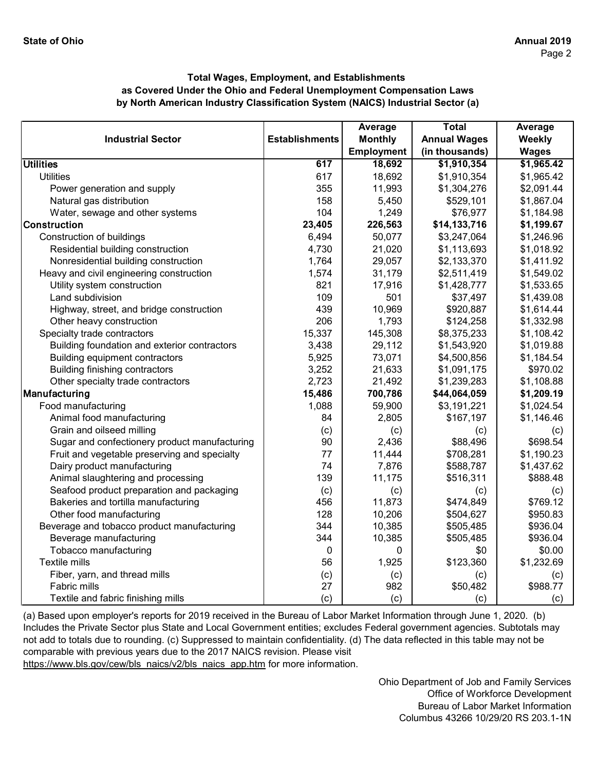|                                               |                       | Average           | <b>Total</b>        | Average      |
|-----------------------------------------------|-----------------------|-------------------|---------------------|--------------|
| <b>Industrial Sector</b>                      | <b>Establishments</b> | <b>Monthly</b>    | <b>Annual Wages</b> | Weekly       |
|                                               |                       | <b>Employment</b> | (in thousands)      | <b>Wages</b> |
| <b>Utilities</b>                              | 617                   | 18,692            | \$1,910,354         | \$1,965.42   |
| <b>Utilities</b>                              | 617                   | 18,692            | \$1,910,354         | \$1,965.42   |
| Power generation and supply                   | 355                   | 11,993            | \$1,304,276         | \$2,091.44   |
| Natural gas distribution                      | 158                   | 5,450             | \$529,101           | \$1,867.04   |
| Water, sewage and other systems               | 104                   | 1,249             | \$76,977            | \$1,184.98   |
| <b>Construction</b>                           | 23,405                | 226,563           | \$14,133,716        | \$1,199.67   |
| Construction of buildings                     | 6,494                 | 50,077            | \$3,247,064         | \$1,246.96   |
| Residential building construction             | 4,730                 | 21,020            | \$1,113,693         | \$1,018.92   |
| Nonresidential building construction          | 1,764                 | 29,057            | \$2,133,370         | \$1,411.92   |
| Heavy and civil engineering construction      | 1,574                 | 31,179            | \$2,511,419         | \$1,549.02   |
| Utility system construction                   | 821                   | 17,916            | \$1,428,777         | \$1,533.65   |
| Land subdivision                              | 109                   | 501               | \$37,497            | \$1,439.08   |
| Highway, street, and bridge construction      | 439                   | 10,969            | \$920,887           | \$1,614.44   |
| Other heavy construction                      | 206                   | 1,793             | \$124,258           | \$1,332.98   |
| Specialty trade contractors                   | 15,337                | 145,308           | \$8,375,233         | \$1,108.42   |
| Building foundation and exterior contractors  | 3,438                 | 29,112            | \$1,543,920         | \$1,019.88   |
| Building equipment contractors                | 5,925                 | 73,071            | \$4,500,856         | \$1,184.54   |
| <b>Building finishing contractors</b>         | 3,252                 | 21,633            | \$1,091,175         | \$970.02     |
| Other specialty trade contractors             | 2,723                 | 21,492            | \$1,239,283         | \$1,108.88   |
| Manufacturing                                 | 15,486                | 700,786           | \$44,064,059        | \$1,209.19   |
| Food manufacturing                            | 1,088                 | 59,900            | \$3,191,221         | \$1,024.54   |
| Animal food manufacturing                     | 84                    | 2,805             | \$167,197           | \$1,146.46   |
| Grain and oilseed milling                     | (c)                   | (c)               | (c)                 | (c)          |
| Sugar and confectionery product manufacturing | 90                    | 2,436             | \$88,496            | \$698.54     |
| Fruit and vegetable preserving and specialty  | 77                    | 11,444            | \$708,281           | \$1,190.23   |
| Dairy product manufacturing                   | 74                    | 7,876             | \$588,787           | \$1,437.62   |
| Animal slaughtering and processing            | 139                   | 11,175            | \$516,311           | \$888.48     |
| Seafood product preparation and packaging     | (c)                   | (c)               | (c)                 | (c)          |
| Bakeries and tortilla manufacturing           | 456                   | 11,873            | \$474,849           | \$769.12     |
| Other food manufacturing                      | 128                   | 10,206            | \$504,627           | \$950.83     |
| Beverage and tobacco product manufacturing    | 344                   | 10,385            | \$505,485           | \$936.04     |
| Beverage manufacturing                        | 344                   | 10,385            | \$505,485           | \$936.04     |
| Tobacco manufacturing                         | 0                     | 0                 | \$0                 | \$0.00       |
| <b>Textile mills</b>                          | 56                    | 1,925             | \$123,360           | \$1,232.69   |
| Fiber, yarn, and thread mills                 | (c)                   | (c)               | (c)                 | (c)          |
| Fabric mills                                  | 27                    | 982               | \$50,482            | \$988.77     |
| Textile and fabric finishing mills            | (c)                   | (c)               | (c)                 | (c)          |

[\(a\) Based upon employer's reports for 2019 received in t](https://www.bls.gov/cew/bls_naics/v2/bls_naics_app.htm)he Bureau of Labor Market Information through June 1, 2020. (b) [Includes the Private Sector plus State and Local Governm](https://www.bls.gov/cew/bls_naics/v2/bls_naics_app.htm)ent entities; excludes Federal government agencies. Subtotals may [not add to totals due to rounding. \(c\) Suppressed to main](https://www.bls.gov/cew/bls_naics/v2/bls_naics_app.htm)tain confidentiality. (d) The data reflected in this table may not be [comparable with previous years due to the 2017 NAICS](https://www.bls.gov/cew/bls_naics/v2/bls_naics_app.htm) revision. Please visit

[https://www.bls.gov/cew/bls\\_naics/v2/bls\\_naics\\_app.htm](https://www.bls.gov/cew/bls_naics/v2/bls_naics_app.htm) for more information.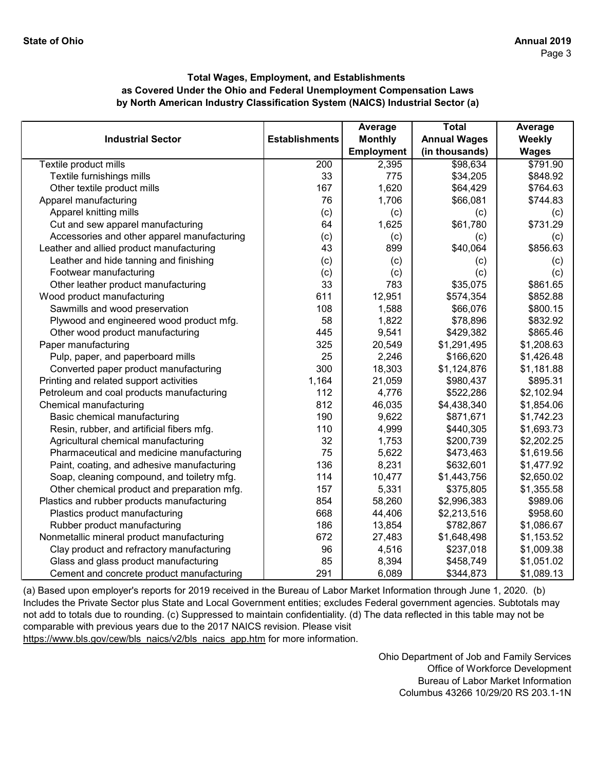|                                             |                       | Average           | <b>Total</b>        | Average      |
|---------------------------------------------|-----------------------|-------------------|---------------------|--------------|
| <b>Industrial Sector</b>                    | <b>Establishments</b> | <b>Monthly</b>    | <b>Annual Wages</b> | Weekly       |
|                                             |                       | <b>Employment</b> | (in thousands)      | <b>Wages</b> |
| Textile product mills                       | $\overline{200}$      | 2,395             | \$98,634            | \$791.90     |
| Textile furnishings mills                   | 33                    | 775               | \$34,205            | \$848.92     |
| Other textile product mills                 | 167                   | 1,620             | \$64,429            | \$764.63     |
| Apparel manufacturing                       | 76                    | 1,706             | \$66,081            | \$744.83     |
| Apparel knitting mills                      | (c)                   | (c)               | (c)                 | (c)          |
| Cut and sew apparel manufacturing           | 64                    | 1,625             | \$61,780            | \$731.29     |
| Accessories and other apparel manufacturing | (c)                   | (c)               | (c)                 | (c)          |
| Leather and allied product manufacturing    | 43                    | 899               | \$40,064            | \$856.63     |
| Leather and hide tanning and finishing      | (c)                   | (c)               | (c)                 | (c)          |
| Footwear manufacturing                      | (c)                   | (c)               | (c)                 | (c)          |
| Other leather product manufacturing         | 33                    | 783               | \$35,075            | \$861.65     |
| Wood product manufacturing                  | 611                   | 12,951            | \$574,354           | \$852.88     |
| Sawmills and wood preservation              | 108                   | 1,588             | \$66,076            | \$800.15     |
| Plywood and engineered wood product mfg.    | 58                    | 1,822             | \$78,896            | \$832.92     |
| Other wood product manufacturing            | 445                   | 9,541             | \$429,382           | \$865.46     |
| Paper manufacturing                         | 325                   | 20,549            | \$1,291,495         | \$1,208.63   |
| Pulp, paper, and paperboard mills           | 25                    | 2,246             | \$166,620           | \$1,426.48   |
| Converted paper product manufacturing       | 300                   | 18,303            | \$1,124,876         | \$1,181.88   |
| Printing and related support activities     | 1,164                 | 21,059            | \$980,437           | \$895.31     |
| Petroleum and coal products manufacturing   | 112                   | 4,776             | \$522,286           | \$2,102.94   |
| Chemical manufacturing                      | 812                   | 46,035            | \$4,438,340         | \$1,854.06   |
| Basic chemical manufacturing                | 190                   | 9,622             | \$871,671           | \$1,742.23   |
| Resin, rubber, and artificial fibers mfg.   | 110                   | 4,999             | \$440,305           | \$1,693.73   |
| Agricultural chemical manufacturing         | 32                    | 1,753             | \$200,739           | \$2,202.25   |
| Pharmaceutical and medicine manufacturing   | 75                    | 5,622             | \$473,463           | \$1,619.56   |
| Paint, coating, and adhesive manufacturing  | 136                   | 8,231             | \$632,601           | \$1,477.92   |
| Soap, cleaning compound, and toiletry mfg.  | 114                   | 10,477            | \$1,443,756         | \$2,650.02   |
| Other chemical product and preparation mfg. | 157                   | 5,331             | \$375,805           | \$1,355.58   |
| Plastics and rubber products manufacturing  | 854                   | 58,260            | \$2,996,383         | \$989.06     |
| Plastics product manufacturing              | 668                   | 44,406            | \$2,213,516         | \$958.60     |
| Rubber product manufacturing                | 186                   | 13,854            | \$782,867           | \$1,086.67   |
| Nonmetallic mineral product manufacturing   | 672                   | 27,483            | \$1,648,498         | \$1,153.52   |
| Clay product and refractory manufacturing   | 96                    | 4,516             | \$237,018           | \$1,009.38   |
| Glass and glass product manufacturing       | 85                    | 8,394             | \$458,749           | \$1,051.02   |
| Cement and concrete product manufacturing   | 291                   | 6,089             | \$344,873           | \$1,089.13   |

[\(a\) Based upon employer's reports for 2019 received in t](https://www.bls.gov/cew/bls_naics/v2/bls_naics_app.htm)he Bureau of Labor Market Information through June 1, 2020. (b) [Includes the Private Sector plus State and Local Governm](https://www.bls.gov/cew/bls_naics/v2/bls_naics_app.htm)ent entities; excludes Federal government agencies. Subtotals may [not add to totals due to rounding. \(c\) Suppressed to main](https://www.bls.gov/cew/bls_naics/v2/bls_naics_app.htm)tain confidentiality. (d) The data reflected in this table may not be [comparable with previous years due to the 2017 NAICS](https://www.bls.gov/cew/bls_naics/v2/bls_naics_app.htm) revision. Please visit

[https://www.bls.gov/cew/bls\\_naics/v2/bls\\_naics\\_app.htm](https://www.bls.gov/cew/bls_naics/v2/bls_naics_app.htm) for more information.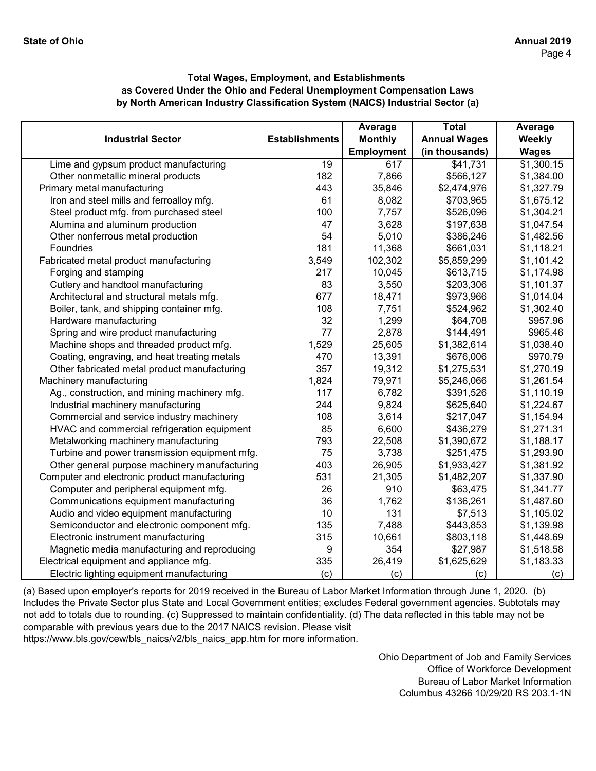|                                               |                       | Average           | <b>Total</b>        | Average      |
|-----------------------------------------------|-----------------------|-------------------|---------------------|--------------|
| <b>Industrial Sector</b>                      | <b>Establishments</b> | <b>Monthly</b>    | <b>Annual Wages</b> | Weekly       |
|                                               |                       | <b>Employment</b> | (in thousands)      | <b>Wages</b> |
| Lime and gypsum product manufacturing         | $\overline{19}$       | 617               | \$41,731            | \$1,300.15   |
| Other nonmetallic mineral products            | 182                   | 7,866             | \$566,127           | \$1,384.00   |
| Primary metal manufacturing                   | 443                   | 35,846            | \$2,474,976         | \$1,327.79   |
| Iron and steel mills and ferroalloy mfg.      | 61                    | 8,082             | \$703,965           | \$1,675.12   |
| Steel product mfg. from purchased steel       | 100                   | 7,757             | \$526,096           | \$1,304.21   |
| Alumina and aluminum production               | 47                    | 3,628             | \$197,638           | \$1,047.54   |
| Other nonferrous metal production             | 54                    | 5,010             | \$386,246           | \$1,482.56   |
| Foundries                                     | 181                   | 11,368            | \$661,031           | \$1,118.21   |
| Fabricated metal product manufacturing        | 3,549                 | 102,302           | \$5,859,299         | \$1,101.42   |
| Forging and stamping                          | 217                   | 10,045            | \$613,715           | \$1,174.98   |
| Cutlery and handtool manufacturing            | 83                    | 3,550             | \$203,306           | \$1,101.37   |
| Architectural and structural metals mfg.      | 677                   | 18,471            | \$973,966           | \$1,014.04   |
| Boiler, tank, and shipping container mfg.     | 108                   | 7,751             | \$524,962           | \$1,302.40   |
| Hardware manufacturing                        | 32                    | 1,299             | \$64,708            | \$957.96     |
| Spring and wire product manufacturing         | 77                    | 2,878             | \$144,491           | \$965.46     |
| Machine shops and threaded product mfg.       | 1,529                 | 25,605            | \$1,382,614         | \$1,038.40   |
| Coating, engraving, and heat treating metals  | 470                   | 13,391            | \$676,006           | \$970.79     |
| Other fabricated metal product manufacturing  | 357                   | 19,312            | \$1,275,531         | \$1,270.19   |
| Machinery manufacturing                       | 1,824                 | 79,971            | \$5,246,066         | \$1,261.54   |
| Ag., construction, and mining machinery mfg.  | 117                   | 6,782             | \$391,526           | \$1,110.19   |
| Industrial machinery manufacturing            | 244                   | 9,824             | \$625,640           | \$1,224.67   |
| Commercial and service industry machinery     | 108                   | 3,614             | \$217,047           | \$1,154.94   |
| HVAC and commercial refrigeration equipment   | 85                    | 6,600             | \$436,279           | \$1,271.31   |
| Metalworking machinery manufacturing          | 793                   | 22,508            | \$1,390,672         | \$1,188.17   |
| Turbine and power transmission equipment mfg. | 75                    | 3,738             | \$251,475           | \$1,293.90   |
| Other general purpose machinery manufacturing | 403                   | 26,905            | \$1,933,427         | \$1,381.92   |
| Computer and electronic product manufacturing | 531                   | 21,305            | \$1,482,207         | \$1,337.90   |
| Computer and peripheral equipment mfg.        | 26                    | 910               | \$63,475            | \$1,341.77   |
| Communications equipment manufacturing        | 36                    | 1,762             | \$136,261           | \$1,487.60   |
| Audio and video equipment manufacturing       | 10                    | 131               | \$7,513             | \$1,105.02   |
| Semiconductor and electronic component mfg.   | 135                   | 7,488             | \$443,853           | \$1,139.98   |
| Electronic instrument manufacturing           | 315                   | 10,661            | \$803,118           | \$1,448.69   |
| Magnetic media manufacturing and reproducing  | 9                     | 354               | \$27,987            | \$1,518.58   |
| Electrical equipment and appliance mfg.       | 335                   | 26,419            | \$1,625,629         | \$1,183.33   |
| Electric lighting equipment manufacturing     | (c)                   | (c)               | (c)                 | (c)          |

[\(a\) Based upon employer's reports for 2019 received in t](https://www.bls.gov/cew/bls_naics/v2/bls_naics_app.htm)he Bureau of Labor Market Information through June 1, 2020. (b) [Includes the Private Sector plus State and Local Governm](https://www.bls.gov/cew/bls_naics/v2/bls_naics_app.htm)ent entities; excludes Federal government agencies. Subtotals may [not add to totals due to rounding. \(c\) Suppressed to main](https://www.bls.gov/cew/bls_naics/v2/bls_naics_app.htm)tain confidentiality. (d) The data reflected in this table may not be [comparable with previous years due to the 2017 NAICS](https://www.bls.gov/cew/bls_naics/v2/bls_naics_app.htm) revision. Please visit

[https://www.bls.gov/cew/bls\\_naics/v2/bls\\_naics\\_app.htm](https://www.bls.gov/cew/bls_naics/v2/bls_naics_app.htm) for more information.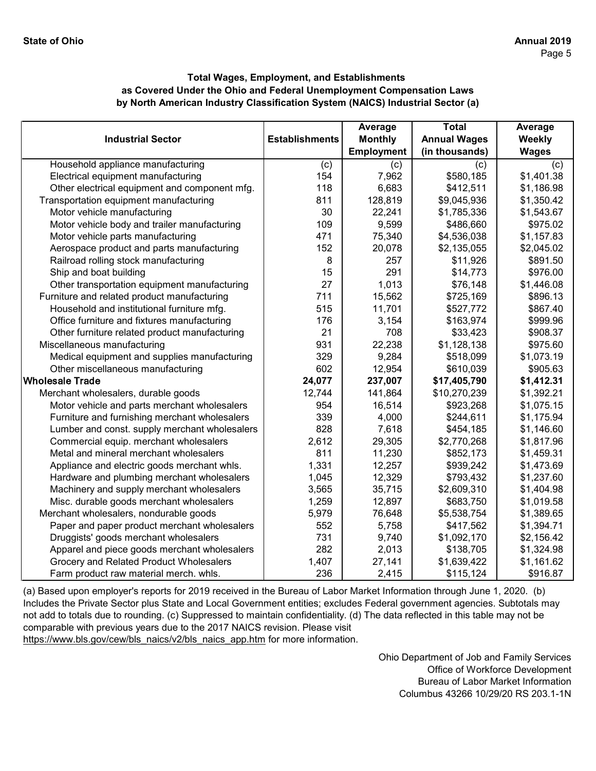|                                               |                       | Average           | <b>Total</b>        | Average      |
|-----------------------------------------------|-----------------------|-------------------|---------------------|--------------|
| <b>Industrial Sector</b>                      | <b>Establishments</b> | <b>Monthly</b>    | <b>Annual Wages</b> | Weekly       |
|                                               |                       | <b>Employment</b> | (in thousands)      | <b>Wages</b> |
| Household appliance manufacturing             | (c)                   | (c)               | (c)                 | (c)          |
| Electrical equipment manufacturing            | 154                   | 7,962             | \$580,185           | \$1,401.38   |
| Other electrical equipment and component mfg. | 118                   | 6,683             | \$412,511           | \$1,186.98   |
| Transportation equipment manufacturing        | 811                   | 128,819           | \$9,045,936         | \$1,350.42   |
| Motor vehicle manufacturing                   | 30                    | 22,241            | \$1,785,336         | \$1,543.67   |
| Motor vehicle body and trailer manufacturing  | 109                   | 9,599             | \$486,660           | \$975.02     |
| Motor vehicle parts manufacturing             | 471                   | 75,340            | \$4,536,038         | \$1,157.83   |
| Aerospace product and parts manufacturing     | 152                   | 20,078            | \$2,135,055         | \$2,045.02   |
| Railroad rolling stock manufacturing          | 8                     | 257               | \$11,926            | \$891.50     |
| Ship and boat building                        | 15                    | 291               | \$14,773            | \$976.00     |
| Other transportation equipment manufacturing  | 27                    | 1,013             | \$76,148            | \$1,446.08   |
| Furniture and related product manufacturing   | 711                   | 15,562            | \$725,169           | \$896.13     |
| Household and institutional furniture mfg.    | 515                   | 11,701            | \$527,772           | \$867.40     |
| Office furniture and fixtures manufacturing   | 176                   | 3,154             | \$163,974           | \$999.96     |
| Other furniture related product manufacturing | 21                    | 708               | \$33,423            | \$908.37     |
| Miscellaneous manufacturing                   | 931                   | 22,238            | \$1,128,138         | \$975.60     |
| Medical equipment and supplies manufacturing  | 329                   | 9,284             | \$518,099           | \$1,073.19   |
| Other miscellaneous manufacturing             | 602                   | 12,954            | \$610,039           | \$905.63     |
| Wholesale Trade                               | 24,077                | 237,007           | \$17,405,790        | \$1,412.31   |
| Merchant wholesalers, durable goods           | 12,744                | 141,864           | \$10,270,239        | \$1,392.21   |
| Motor vehicle and parts merchant wholesalers  | 954                   | 16,514            | \$923,268           | \$1,075.15   |
| Furniture and furnishing merchant wholesalers | 339                   | 4,000             | \$244,611           | \$1,175.94   |
| Lumber and const. supply merchant wholesalers | 828                   | 7,618             | \$454,185           | \$1,146.60   |
| Commercial equip. merchant wholesalers        | 2,612                 | 29,305            | \$2,770,268         | \$1,817.96   |
| Metal and mineral merchant wholesalers        | 811                   | 11,230            | \$852,173           | \$1,459.31   |
| Appliance and electric goods merchant whls.   | 1,331                 | 12,257            | \$939,242           | \$1,473.69   |
| Hardware and plumbing merchant wholesalers    | 1,045                 | 12,329            | \$793,432           | \$1,237.60   |
| Machinery and supply merchant wholesalers     | 3,565                 | 35,715            | \$2,609,310         | \$1,404.98   |
| Misc. durable goods merchant wholesalers      | 1,259                 | 12,897            | \$683,750           | \$1,019.58   |
| Merchant wholesalers, nondurable goods        | 5,979                 | 76,648            | \$5,538,754         | \$1,389.65   |
| Paper and paper product merchant wholesalers  | 552                   | 5,758             | \$417,562           | \$1,394.71   |
| Druggists' goods merchant wholesalers         | 731                   | 9,740             | \$1,092,170         | \$2,156.42   |
| Apparel and piece goods merchant wholesalers  | 282                   | 2,013             | \$138,705           | \$1,324.98   |
| Grocery and Related Product Wholesalers       | 1,407                 | 27,141            | \$1,639,422         | \$1,161.62   |
| Farm product raw material merch. whls.        | 236                   | 2,415             | \$115,124           | \$916.87     |

[\(a\) Based upon employer's reports for 2019 received in t](https://www.bls.gov/cew/bls_naics/v2/bls_naics_app.htm)he Bureau of Labor Market Information through June 1, 2020. (b) [Includes the Private Sector plus State and Local Governm](https://www.bls.gov/cew/bls_naics/v2/bls_naics_app.htm)ent entities; excludes Federal government agencies. Subtotals may [not add to totals due to rounding. \(c\) Suppressed to main](https://www.bls.gov/cew/bls_naics/v2/bls_naics_app.htm)tain confidentiality. (d) The data reflected in this table may not be [comparable with previous years due to the 2017 NAICS](https://www.bls.gov/cew/bls_naics/v2/bls_naics_app.htm) revision. Please visit [https://www.bls.gov/cew/bls\\_naics/v2/bls\\_naics\\_app.htm](https://www.bls.gov/cew/bls_naics/v2/bls_naics_app.htm) for more information.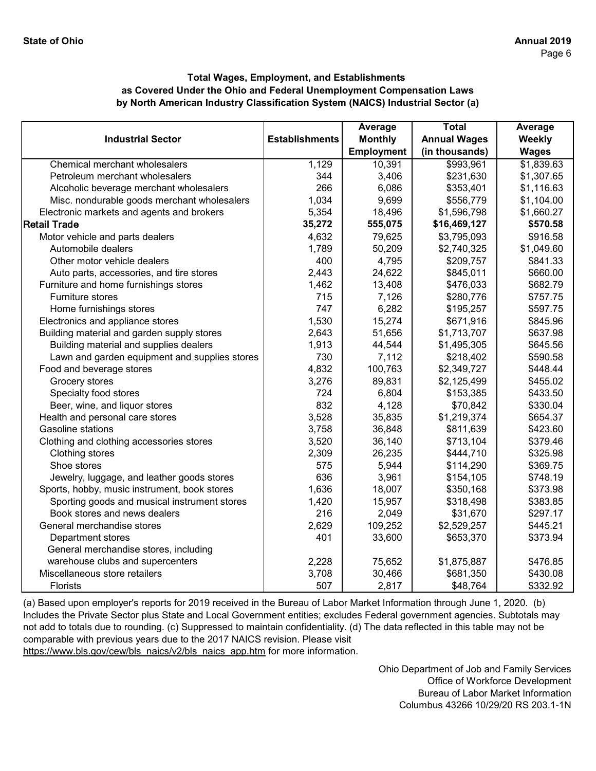|                                               |                       | Average           | <b>Total</b>        | Average      |
|-----------------------------------------------|-----------------------|-------------------|---------------------|--------------|
| <b>Industrial Sector</b>                      | <b>Establishments</b> | <b>Monthly</b>    | <b>Annual Wages</b> | Weekly       |
|                                               |                       | <b>Employment</b> | (in thousands)      | <b>Wages</b> |
| Chemical merchant wholesalers                 | 1,129                 | 10,391            | \$993,961           | \$1,839.63   |
| Petroleum merchant wholesalers                | 344                   | 3,406             | \$231,630           | \$1,307.65   |
| Alcoholic beverage merchant wholesalers       | 266                   | 6,086             | \$353,401           | \$1,116.63   |
| Misc. nondurable goods merchant wholesalers   | 1,034                 | 9,699             | \$556,779           | \$1,104.00   |
| Electronic markets and agents and brokers     | 5,354                 | 18,496            | \$1,596,798         | \$1,660.27   |
| <b>Retail Trade</b>                           | 35,272                | 555,075           | \$16,469,127        | \$570.58     |
| Motor vehicle and parts dealers               | 4,632                 | 79,625            | \$3,795,093         | \$916.58     |
| Automobile dealers                            | 1,789                 | 50,209            | \$2,740,325         | \$1,049.60   |
| Other motor vehicle dealers                   | 400                   | 4,795             | \$209,757           | \$841.33     |
| Auto parts, accessories, and tire stores      | 2,443                 | 24,622            | \$845,011           | \$660.00     |
| Furniture and home furnishings stores         | 1,462                 | 13,408            | \$476,033           | \$682.79     |
| Furniture stores                              | 715                   | 7,126             | \$280,776           | \$757.75     |
| Home furnishings stores                       | 747                   | 6,282             | \$195,257           | \$597.75     |
| Electronics and appliance stores              | 1,530                 | 15,274            | \$671,916           | \$845.96     |
| Building material and garden supply stores    | 2,643                 | 51,656            | \$1,713,707         | \$637.98     |
| Building material and supplies dealers        | 1,913                 | 44,544            | \$1,495,305         | \$645.56     |
| Lawn and garden equipment and supplies stores | 730                   | 7,112             | \$218,402           | \$590.58     |
| Food and beverage stores                      | 4,832                 | 100,763           | \$2,349,727         | \$448.44     |
| Grocery stores                                | 3,276                 | 89,831            | \$2,125,499         | \$455.02     |
| Specialty food stores                         | 724                   | 6,804             | \$153,385           | \$433.50     |
| Beer, wine, and liquor stores                 | 832                   | 4,128             | \$70,842            | \$330.04     |
| Health and personal care stores               | 3,528                 | 35,835            | \$1,219,374         | \$654.37     |
| Gasoline stations                             | 3,758                 | 36,848            | \$811,639           | \$423.60     |
| Clothing and clothing accessories stores      | 3,520                 | 36,140            | \$713,104           | \$379.46     |
| Clothing stores                               | 2,309                 | 26,235            | \$444,710           | \$325.98     |
| Shoe stores                                   | 575                   | 5,944             | \$114,290           | \$369.75     |
| Jewelry, luggage, and leather goods stores    | 636                   | 3,961             | \$154,105           | \$748.19     |
| Sports, hobby, music instrument, book stores  | 1,636                 | 18,007            | \$350,168           | \$373.98     |
| Sporting goods and musical instrument stores  | 1,420                 | 15,957            | \$318,498           | \$383.85     |
| Book stores and news dealers                  | 216                   | 2,049             | \$31,670            | \$297.17     |
| General merchandise stores                    | 2,629                 | 109,252           | \$2,529,257         | \$445.21     |
| Department stores                             | 401                   | 33,600            | \$653,370           | \$373.94     |
| General merchandise stores, including         |                       |                   |                     |              |
| warehouse clubs and supercenters              | 2,228                 | 75,652            | \$1,875,887         | \$476.85     |
| Miscellaneous store retailers                 | 3,708                 | 30,466            | \$681,350           | \$430.08     |
| <b>Florists</b>                               | 507                   | 2,817             | \$48,764            | \$332.92     |

[\(a\) Based upon employer's reports for 2019 received in t](https://www.bls.gov/cew/bls_naics/v2/bls_naics_app.htm)he Bureau of Labor Market Information through June 1, 2020. (b) [Includes the Private Sector plus State and Local Governm](https://www.bls.gov/cew/bls_naics/v2/bls_naics_app.htm)ent entities; excludes Federal government agencies. Subtotals may [not add to totals due to rounding. \(c\) Suppressed to main](https://www.bls.gov/cew/bls_naics/v2/bls_naics_app.htm)tain confidentiality. (d) The data reflected in this table may not be [comparable with previous years due to the 2017 NAICS](https://www.bls.gov/cew/bls_naics/v2/bls_naics_app.htm) revision. Please visit [https://www.bls.gov/cew/bls\\_naics/v2/bls\\_naics\\_app.htm](https://www.bls.gov/cew/bls_naics/v2/bls_naics_app.htm) for more information.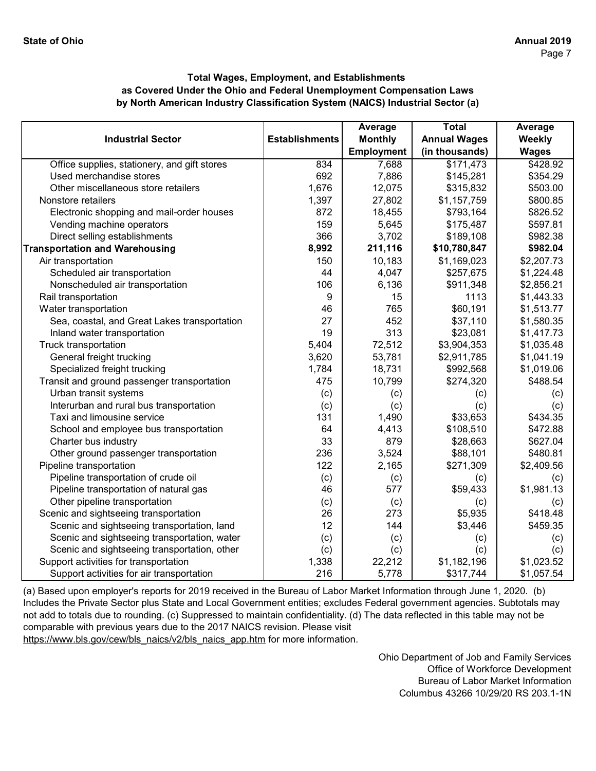|                                              |                       | Average           | <b>Total</b>        | Average      |
|----------------------------------------------|-----------------------|-------------------|---------------------|--------------|
| <b>Industrial Sector</b>                     | <b>Establishments</b> | <b>Monthly</b>    | <b>Annual Wages</b> | Weekly       |
|                                              |                       | <b>Employment</b> | (in thousands)      | <b>Wages</b> |
| Office supplies, stationery, and gift stores | 834                   | 7,688             | \$171,473           | \$428.92     |
| Used merchandise stores                      | 692                   | 7,886             | \$145,281           | \$354.29     |
| Other miscellaneous store retailers          | 1,676                 | 12,075            | \$315,832           | \$503.00     |
| Nonstore retailers                           | 1,397                 | 27,802            | \$1,157,759         | \$800.85     |
| Electronic shopping and mail-order houses    | 872                   | 18,455            | \$793,164           | \$826.52     |
| Vending machine operators                    | 159                   | 5,645             | \$175,487           | \$597.81     |
| Direct selling establishments                | 366                   | 3,702             | \$189,108           | \$982.38     |
| <b>Transportation and Warehousing</b>        | 8,992                 | 211,116           | \$10,780,847        | \$982.04     |
| Air transportation                           | 150                   | 10,183            | \$1,169,023         | \$2,207.73   |
| Scheduled air transportation                 | 44                    | 4,047             | \$257,675           | \$1,224.48   |
| Nonscheduled air transportation              | 106                   | 6,136             | \$911,348           | \$2,856.21   |
| Rail transportation                          | 9                     | 15                | 1113                | \$1,443.33   |
| Water transportation                         | 46                    | 765               | \$60,191            | \$1,513.77   |
| Sea, coastal, and Great Lakes transportation | 27                    | 452               | \$37,110            | \$1,580.35   |
| Inland water transportation                  | 19                    | 313               | \$23,081            | \$1,417.73   |
| Truck transportation                         | 5,404                 | 72,512            | \$3,904,353         | \$1,035.48   |
| General freight trucking                     | 3,620                 | 53,781            | \$2,911,785         | \$1,041.19   |
| Specialized freight trucking                 | 1,784                 | 18,731            | \$992,568           | \$1,019.06   |
| Transit and ground passenger transportation  | 475                   | 10,799            | \$274,320           | \$488.54     |
| Urban transit systems                        | (c)                   | (c)               | (c)                 | (c)          |
| Interurban and rural bus transportation      | (c)                   | (c)               | (c)                 | (c)          |
| Taxi and limousine service                   | 131                   | 1,490             | \$33,653            | \$434.35     |
| School and employee bus transportation       | 64                    | 4,413             | \$108,510           | \$472.88     |
| Charter bus industry                         | 33                    | 879               | \$28,663            | \$627.04     |
| Other ground passenger transportation        | 236                   | 3,524             | \$88,101            | \$480.81     |
| Pipeline transportation                      | 122                   | 2,165             | \$271,309           | \$2,409.56   |
| Pipeline transportation of crude oil         | (c)                   | (c)               | (c)                 | (c)          |
| Pipeline transportation of natural gas       | 46                    | 577               | \$59,433            | \$1,981.13   |
| Other pipeline transportation                | (c)                   | (c)               | (c)                 | (c)          |
| Scenic and sightseeing transportation        | 26                    | 273               | \$5,935             | \$418.48     |
| Scenic and sightseeing transportation, land  | 12                    | 144               | \$3,446             | \$459.35     |
| Scenic and sightseeing transportation, water | (c)                   | (c)               | (c)                 | (c)          |
| Scenic and sightseeing transportation, other | (c)                   | (c)               | (c)                 | (c)          |
| Support activities for transportation        | 1,338                 | 22,212            | \$1,182,196         | \$1,023.52   |
| Support activities for air transportation    | 216                   | 5,778             | \$317,744           | \$1,057.54   |

[\(a\) Based upon employer's reports for 2019 received in t](https://www.bls.gov/cew/bls_naics/v2/bls_naics_app.htm)he Bureau of Labor Market Information through June 1, 2020. (b) [Includes the Private Sector plus State and Local Governm](https://www.bls.gov/cew/bls_naics/v2/bls_naics_app.htm)ent entities; excludes Federal government agencies. Subtotals may [not add to totals due to rounding. \(c\) Suppressed to main](https://www.bls.gov/cew/bls_naics/v2/bls_naics_app.htm)tain confidentiality. (d) The data reflected in this table may not be [comparable with previous years due to the 2017 NAICS](https://www.bls.gov/cew/bls_naics/v2/bls_naics_app.htm) revision. Please visit [https://www.bls.gov/cew/bls\\_naics/v2/bls\\_naics\\_app.htm](https://www.bls.gov/cew/bls_naics/v2/bls_naics_app.htm) for more information.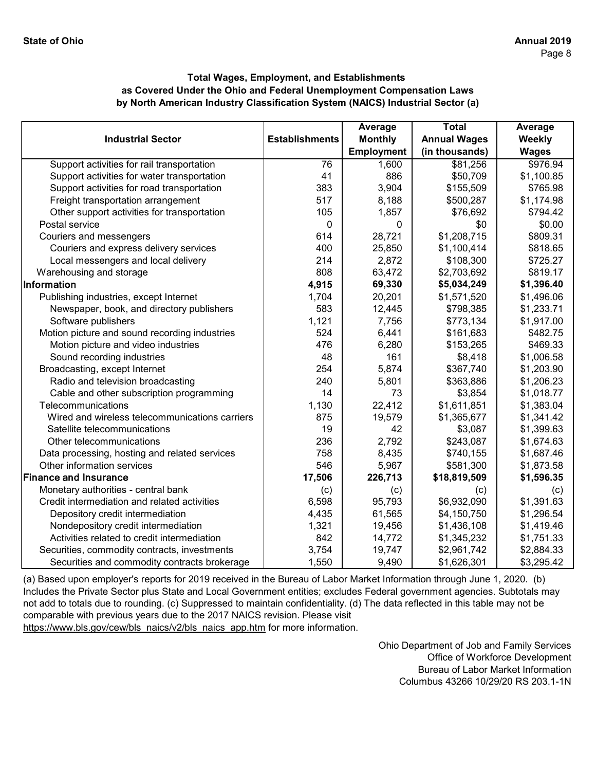|                                                |                       | Average           | <b>Total</b>        | Average      |
|------------------------------------------------|-----------------------|-------------------|---------------------|--------------|
| <b>Industrial Sector</b>                       | <b>Establishments</b> | <b>Monthly</b>    | <b>Annual Wages</b> | Weekly       |
|                                                |                       | <b>Employment</b> | (in thousands)      | <b>Wages</b> |
| Support activities for rail transportation     | 76                    | 1,600             | \$81,256            | \$976.94     |
| Support activities for water transportation    | 41                    | 886               | \$50,709            | \$1,100.85   |
| Support activities for road transportation     | 383                   | 3,904             | \$155,509           | \$765.98     |
| Freight transportation arrangement             | 517                   | 8,188             | \$500,287           | \$1,174.98   |
| Other support activities for transportation    | 105                   | 1,857             | \$76,692            | \$794.42     |
| Postal service                                 | $\mathbf{0}$          | 0                 | \$0                 | \$0.00       |
| Couriers and messengers                        | 614                   | 28,721            | \$1,208,715         | \$809.31     |
| Couriers and express delivery services         | 400                   | 25,850            | \$1,100,414         | \$818.65     |
| Local messengers and local delivery            | 214                   | 2,872             | \$108,300           | \$725.27     |
| Warehousing and storage                        | 808                   | 63,472            | \$2,703,692         | \$819.17     |
| Information                                    | 4,915                 | 69,330            | \$5,034,249         | \$1,396.40   |
| Publishing industries, except Internet         | 1,704                 | 20,201            | \$1,571,520         | \$1,496.06   |
| Newspaper, book, and directory publishers      | 583                   | 12,445            | \$798,385           | \$1,233.71   |
| Software publishers                            | 1,121                 | 7,756             | \$773,134           | \$1,917.00   |
| Motion picture and sound recording industries  | 524                   | 6,441             | \$161,683           | \$482.75     |
| Motion picture and video industries            | 476                   | 6,280             | \$153,265           | \$469.33     |
| Sound recording industries                     | 48                    | 161               | \$8,418             | \$1,006.58   |
| Broadcasting, except Internet                  | 254                   | 5,874             | \$367,740           | \$1,203.90   |
| Radio and television broadcasting              | 240                   | 5,801             | \$363,886           | \$1,206.23   |
| Cable and other subscription programming       | 14                    | 73                | \$3,854             | \$1,018.77   |
| Telecommunications                             | 1,130                 | 22,412            | \$1,611,851         | \$1,383.04   |
| Wired and wireless telecommunications carriers | 875                   | 19,579            | \$1,365,677         | \$1,341.42   |
| Satellite telecommunications                   | 19                    | 42                | \$3,087             | \$1,399.63   |
| Other telecommunications                       | 236                   | 2,792             | \$243,087           | \$1,674.63   |
| Data processing, hosting and related services  | 758                   | 8,435             | \$740,155           | \$1,687.46   |
| Other information services                     | 546                   | 5,967             | \$581,300           | \$1,873.58   |
| <b>Finance and Insurance</b>                   | 17,506                | 226,713           | \$18,819,509        | \$1,596.35   |
| Monetary authorities - central bank            | (c)                   | (c)               | (c)                 | (c)          |
| Credit intermediation and related activities   | 6,598                 | 95,793            | \$6,932,090         | \$1,391.63   |
| Depository credit intermediation               | 4,435                 | 61,565            | \$4,150,750         | \$1,296.54   |
| Nondepository credit intermediation            | 1,321                 | 19,456            | \$1,436,108         | \$1,419.46   |
| Activities related to credit intermediation    | 842                   | 14,772            | \$1,345,232         | \$1,751.33   |
| Securities, commodity contracts, investments   | 3,754                 | 19,747            | \$2,961,742         | \$2,884.33   |
| Securities and commodity contracts brokerage   | 1,550                 | 9,490             | \$1,626,301         | \$3,295.42   |

[\(a\) Based upon employer's reports for 2019 received in t](https://www.bls.gov/cew/bls_naics/v2/bls_naics_app.htm)he Bureau of Labor Market Information through June 1, 2020. (b) [Includes the Private Sector plus State and Local Governm](https://www.bls.gov/cew/bls_naics/v2/bls_naics_app.htm)ent entities; excludes Federal government agencies. Subtotals may [not add to totals due to rounding. \(c\) Suppressed to main](https://www.bls.gov/cew/bls_naics/v2/bls_naics_app.htm)tain confidentiality. (d) The data reflected in this table may not be [comparable with previous years due to the 2017 NAICS](https://www.bls.gov/cew/bls_naics/v2/bls_naics_app.htm) revision. Please visit [https://www.bls.gov/cew/bls\\_naics/v2/bls\\_naics\\_app.htm](https://www.bls.gov/cew/bls_naics/v2/bls_naics_app.htm) for more information.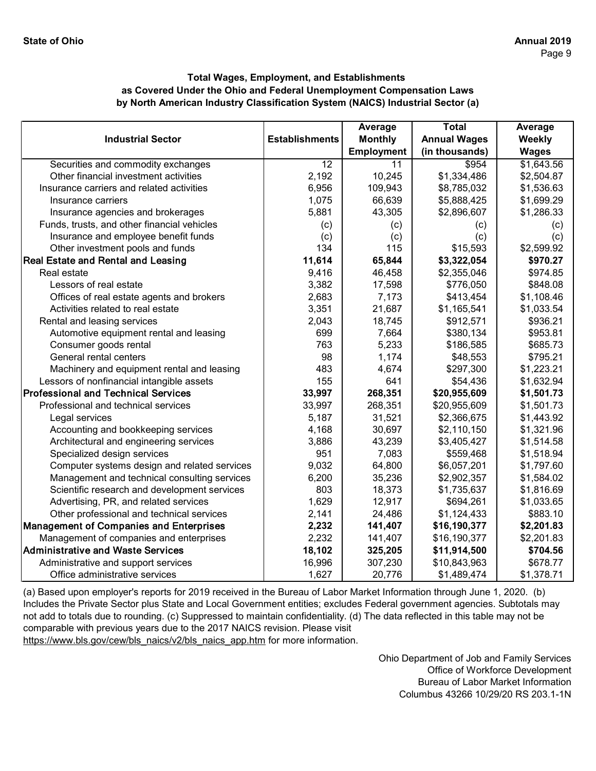|                                                |                       | Average           | <b>Total</b>        | Average      |
|------------------------------------------------|-----------------------|-------------------|---------------------|--------------|
| <b>Industrial Sector</b>                       | <b>Establishments</b> | <b>Monthly</b>    | <b>Annual Wages</b> | Weekly       |
|                                                |                       | <b>Employment</b> | (in thousands)      | <b>Wages</b> |
| Securities and commodity exchanges             | 12                    | 11                | \$954               | \$1,643.56   |
| Other financial investment activities          | 2,192                 | 10,245            | \$1,334,486         | \$2,504.87   |
| Insurance carriers and related activities      | 6,956                 | 109,943           | \$8,785,032         | \$1,536.63   |
| Insurance carriers                             | 1,075                 | 66,639            | \$5,888,425         | \$1,699.29   |
| Insurance agencies and brokerages              | 5,881                 | 43,305            | \$2,896,607         | \$1,286.33   |
| Funds, trusts, and other financial vehicles    | (c)                   | (c)               | (c)                 | (c)          |
| Insurance and employee benefit funds           | (c)                   | (c)               | (c)                 | (c)          |
| Other investment pools and funds               | 134                   | 115               | \$15,593            | \$2,599.92   |
| <b>Real Estate and Rental and Leasing</b>      | 11,614                | 65,844            | \$3,322,054         | \$970.27     |
| Real estate                                    | 9,416                 | 46,458            | \$2,355,046         | \$974.85     |
| Lessors of real estate                         | 3,382                 | 17,598            | \$776,050           | \$848.08     |
| Offices of real estate agents and brokers      | 2,683                 | 7,173             | \$413,454           | \$1,108.46   |
| Activities related to real estate              | 3,351                 | 21,687            | \$1,165,541         | \$1,033.54   |
| Rental and leasing services                    | 2,043                 | 18,745            | \$912,571           | \$936.21     |
| Automotive equipment rental and leasing        | 699                   | 7,664             | \$380,134           | \$953.81     |
| Consumer goods rental                          | 763                   | 5,233             | \$186,585           | \$685.73     |
| General rental centers                         | 98                    | 1,174             | \$48,553            | \$795.21     |
| Machinery and equipment rental and leasing     | 483                   | 4,674             | \$297,300           | \$1,223.21   |
| Lessors of nonfinancial intangible assets      | 155                   | 641               | \$54,436            | \$1,632.94   |
| <b>Professional and Technical Services</b>     | 33,997                | 268,351           | \$20,955,609        | \$1,501.73   |
| Professional and technical services            | 33,997                | 268,351           | \$20,955,609        | \$1,501.73   |
| Legal services                                 | 5,187                 | 31,521            | \$2,366,675         | \$1,443.92   |
| Accounting and bookkeeping services            | 4,168                 | 30,697            | \$2,110,150         | \$1,321.96   |
| Architectural and engineering services         | 3,886                 | 43,239            | \$3,405,427         | \$1,514.58   |
| Specialized design services                    | 951                   | 7,083             | \$559,468           | \$1,518.94   |
| Computer systems design and related services   | 9,032                 | 64,800            | \$6,057,201         | \$1,797.60   |
| Management and technical consulting services   | 6,200                 | 35,236            | \$2,902,357         | \$1,584.02   |
| Scientific research and development services   | 803                   | 18,373            | \$1,735,637         | \$1,816.69   |
| Advertising, PR, and related services          | 1,629                 | 12,917            | \$694,261           | \$1,033.65   |
| Other professional and technical services      | 2,141                 | 24,486            | \$1,124,433         | \$883.10     |
| <b>Management of Companies and Enterprises</b> | 2,232                 | 141,407           | \$16,190,377        | \$2,201.83   |
| Management of companies and enterprises        | 2,232                 | 141,407           | \$16,190,377        | \$2,201.83   |
| <b>Administrative and Waste Services</b>       | 18,102                | 325,205           | \$11,914,500        | \$704.56     |
| Administrative and support services            | 16,996                | 307,230           | \$10,843,963        | \$678.77     |
| Office administrative services                 | 1,627                 | 20,776            | \$1,489,474         | \$1,378.71   |

[\(a\) Based upon employer's reports for 2019 received in t](https://www.bls.gov/cew/bls_naics/v2/bls_naics_app.htm)he Bureau of Labor Market Information through June 1, 2020. (b) [Includes the Private Sector plus State and Local Governm](https://www.bls.gov/cew/bls_naics/v2/bls_naics_app.htm)ent entities; excludes Federal government agencies. Subtotals may [not add to totals due to rounding. \(c\) Suppressed to main](https://www.bls.gov/cew/bls_naics/v2/bls_naics_app.htm)tain confidentiality. (d) The data reflected in this table may not be [comparable with previous years due to the 2017 NAICS](https://www.bls.gov/cew/bls_naics/v2/bls_naics_app.htm) revision. Please visit [https://www.bls.gov/cew/bls\\_naics/v2/bls\\_naics\\_app.htm](https://www.bls.gov/cew/bls_naics/v2/bls_naics_app.htm) for more information.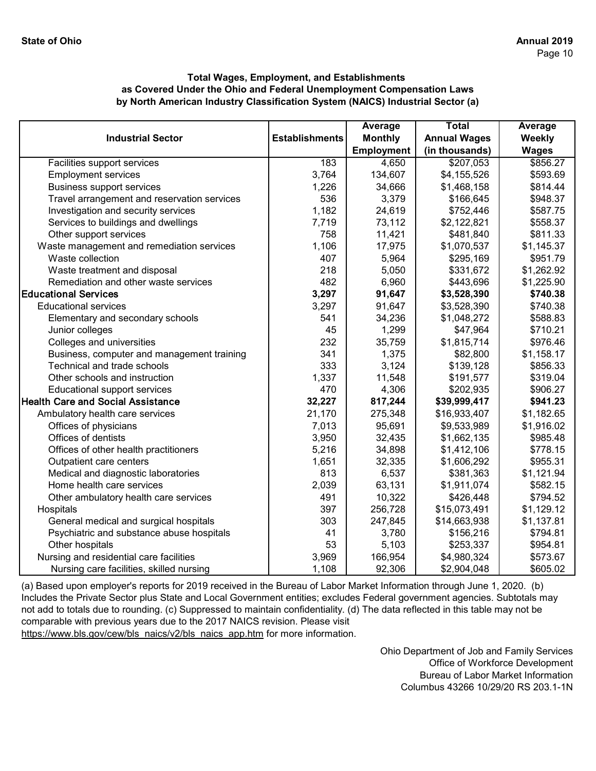|                                             |                       | Average        | <b>Total</b>        | Average      |
|---------------------------------------------|-----------------------|----------------|---------------------|--------------|
| <b>Industrial Sector</b>                    | <b>Establishments</b> | <b>Monthly</b> | <b>Annual Wages</b> | Weekly       |
|                                             |                       | Employment     | (in thousands)      | <b>Wages</b> |
| Facilities support services                 | 183                   | 4,650          | \$207,053           | \$856.27     |
| <b>Employment services</b>                  | 3,764                 | 134,607        | \$4,155,526         | \$593.69     |
| <b>Business support services</b>            | 1,226                 | 34,666         | \$1,468,158         | \$814.44     |
| Travel arrangement and reservation services | 536                   | 3,379          | \$166,645           | \$948.37     |
| Investigation and security services         | 1,182                 | 24,619         | \$752,446           | \$587.75     |
| Services to buildings and dwellings         | 7,719                 | 73,112         | \$2,122,821         | \$558.37     |
| Other support services                      | 758                   | 11,421         | \$481,840           | \$811.33     |
| Waste management and remediation services   | 1,106                 | 17,975         | \$1,070,537         | \$1,145.37   |
| Waste collection                            | 407                   | 5,964          | \$295,169           | \$951.79     |
| Waste treatment and disposal                | 218                   | 5,050          | \$331,672           | \$1,262.92   |
| Remediation and other waste services        | 482                   | 6,960          | \$443,696           | \$1,225.90   |
| <b>Educational Services</b>                 | 3,297                 | 91,647         | \$3,528,390         | \$740.38     |
| <b>Educational services</b>                 | 3,297                 | 91,647         | \$3,528,390         | \$740.38     |
| Elementary and secondary schools            | 541                   | 34,236         | \$1,048,272         | \$588.83     |
| Junior colleges                             | 45                    | 1,299          | \$47,964            | \$710.21     |
| Colleges and universities                   | 232                   | 35,759         | \$1,815,714         | \$976.46     |
| Business, computer and management training  | 341                   | 1,375          | \$82,800            | \$1,158.17   |
| Technical and trade schools                 | 333                   | 3,124          | \$139,128           | \$856.33     |
| Other schools and instruction               | 1,337                 | 11,548         | \$191,577           | \$319.04     |
| Educational support services                | 470                   | 4,306          | \$202,935           | \$906.27     |
| <b>Health Care and Social Assistance</b>    | 32,227                | 817,244        | \$39,999,417        | \$941.23     |
| Ambulatory health care services             | 21,170                | 275,348        | \$16,933,407        | \$1,182.65   |
| Offices of physicians                       | 7,013                 | 95,691         | \$9,533,989         | \$1,916.02   |
| Offices of dentists                         | 3,950                 | 32,435         | \$1,662,135         | \$985.48     |
| Offices of other health practitioners       | 5,216                 | 34,898         | \$1,412,106         | \$778.15     |
| Outpatient care centers                     | 1,651                 | 32,335         | \$1,606,292         | \$955.31     |
| Medical and diagnostic laboratories         | 813                   | 6,537          | \$381,363           | \$1,121.94   |
| Home health care services                   | 2,039                 | 63,131         | \$1,911,074         | \$582.15     |
| Other ambulatory health care services       | 491                   | 10,322         | \$426,448           | \$794.52     |
| Hospitals                                   | 397                   | 256,728        | \$15,073,491        | \$1,129.12   |
| General medical and surgical hospitals      | 303                   | 247,845        | \$14,663,938        | \$1,137.81   |
| Psychiatric and substance abuse hospitals   | 41                    | 3,780          | \$156,216           | \$794.81     |
| Other hospitals                             | 53                    | 5,103          | \$253,337           | \$954.81     |
| Nursing and residential care facilities     | 3,969                 | 166,954        | \$4,980,324         | \$573.67     |
| Nursing care facilities, skilled nursing    | 1,108                 | 92,306         | \$2,904,048         | \$605.02     |

[\(a\) Based upon employer's reports for 2019 received in the](https://www.bls.gov/cew/bls_naics/v2/bls_naics_app.htm) Bureau of Labor Market Information through June 1, 2020. (b) [Includes the Private Sector plus State and Local Governm](https://www.bls.gov/cew/bls_naics/v2/bls_naics_app.htm)ent entities; excludes Federal government agencies. Subtotals may [not add to totals due to rounding. \(c\) Suppressed to mainta](https://www.bls.gov/cew/bls_naics/v2/bls_naics_app.htm)in confidentiality. (d) The data reflected in this table may not be [comparable with previous years due to the 2017 NAICS re](https://www.bls.gov/cew/bls_naics/v2/bls_naics_app.htm)vision. Please visit [https://www.bls.gov/cew/bls\\_naics/v2/bls\\_naics\\_app.htm f](https://www.bls.gov/cew/bls_naics/v2/bls_naics_app.htm)or more information.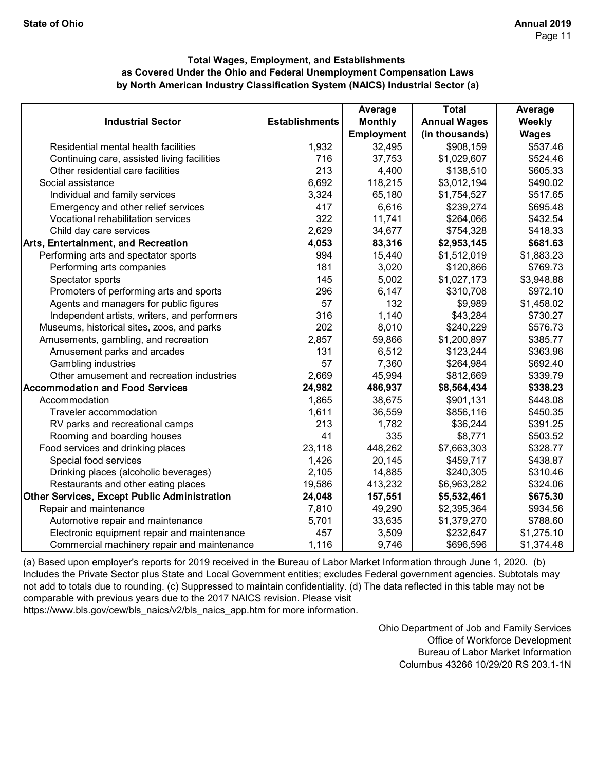|                                              |                       | Average           | <b>Total</b>        | Average      |
|----------------------------------------------|-----------------------|-------------------|---------------------|--------------|
| <b>Industrial Sector</b>                     | <b>Establishments</b> | <b>Monthly</b>    | <b>Annual Wages</b> | Weekly       |
|                                              |                       | <b>Employment</b> | (in thousands)      | <b>Wages</b> |
| Residential mental health facilities         | 1,932                 | 32,495            | \$908,159           | \$537.46     |
| Continuing care, assisted living facilities  | 716                   | 37,753            | \$1,029,607         | \$524.46     |
| Other residential care facilities            | 213                   | 4,400             | \$138,510           | \$605.33     |
| Social assistance                            | 6,692                 | 118,215           | \$3,012,194         | \$490.02     |
| Individual and family services               | 3,324                 | 65,180            | \$1,754,527         | \$517.65     |
| Emergency and other relief services          | 417                   | 6,616             | \$239,274           | \$695.48     |
| Vocational rehabilitation services           | 322                   | 11,741            | \$264,066           | \$432.54     |
| Child day care services                      | 2,629                 | 34,677            | \$754,328           | \$418.33     |
| Arts, Entertainment, and Recreation          | 4,053                 | 83,316            | \$2,953,145         | \$681.63     |
| Performing arts and spectator sports         | 994                   | 15,440            | \$1,512,019         | \$1,883.23   |
| Performing arts companies                    | 181                   | 3,020             | \$120,866           | \$769.73     |
| Spectator sports                             | 145                   | 5,002             | \$1,027,173         | \$3,948.88   |
| Promoters of performing arts and sports      | 296                   | 6,147             | \$310,708           | \$972.10     |
| Agents and managers for public figures       | 57                    | 132               | \$9,989             | \$1,458.02   |
| Independent artists, writers, and performers | 316                   | 1,140             | \$43,284            | \$730.27     |
| Museums, historical sites, zoos, and parks   | 202                   | 8,010             | \$240,229           | \$576.73     |
| Amusements, gambling, and recreation         | 2,857                 | 59,866            | \$1,200,897         | \$385.77     |
| Amusement parks and arcades                  | 131                   | 6,512             | \$123,244           | \$363.96     |
| <b>Gambling industries</b>                   | 57                    | 7,360             | \$264,984           | \$692.40     |
| Other amusement and recreation industries    | 2,669                 | 45,994            | \$812,669           | \$339.79     |
| <b>Accommodation and Food Services</b>       | 24,982                | 486,937           | \$8,564,434         | \$338.23     |
| Accommodation                                | 1,865                 | 38,675            | \$901,131           | \$448.08     |
| Traveler accommodation                       | 1,611                 | 36,559            | \$856,116           | \$450.35     |
| RV parks and recreational camps              | 213                   | 1,782             | \$36,244            | \$391.25     |
| Rooming and boarding houses                  | 41                    | 335               | \$8,771             | \$503.52     |
| Food services and drinking places            | 23,118                | 448,262           | \$7,663,303         | \$328.77     |
| Special food services                        | 1,426                 | 20,145            | \$459,717           | \$438.87     |
| Drinking places (alcoholic beverages)        | 2,105                 | 14,885            | \$240,305           | \$310.46     |
| Restaurants and other eating places          | 19,586                | 413,232           | \$6,963,282         | \$324.06     |
| Other Services, Except Public Administration | 24,048                | 157,551           | \$5,532,461         | \$675.30     |
| Repair and maintenance                       | 7,810                 | 49,290            | \$2,395,364         | \$934.56     |
| Automotive repair and maintenance            | 5,701                 | 33,635            | \$1,379,270         | \$788.60     |
| Electronic equipment repair and maintenance  | 457                   | 3,509             | \$232,647           | \$1,275.10   |
| Commercial machinery repair and maintenance  | 1,116                 | 9,746             | \$696,596           | \$1,374.48   |

[\(a\) Based upon employer's reports for 2019 received in t](https://www.bls.gov/cew/bls_naics/v2/bls_naics_app.htm)he Bureau of Labor Market Information through June 1, 2020. (b) [Includes the Private Sector plus State and Local Governm](https://www.bls.gov/cew/bls_naics/v2/bls_naics_app.htm)ent entities; excludes Federal government agencies. Subtotals may [not add to totals due to rounding. \(c\) Suppressed to main](https://www.bls.gov/cew/bls_naics/v2/bls_naics_app.htm)tain confidentiality. (d) The data reflected in this table may not be [comparable with previous years due to the 2017 NAICS](https://www.bls.gov/cew/bls_naics/v2/bls_naics_app.htm) revision. Please visit [https://www.bls.gov/cew/bls\\_naics/v2/bls\\_naics\\_app.htm](https://www.bls.gov/cew/bls_naics/v2/bls_naics_app.htm) for more information.